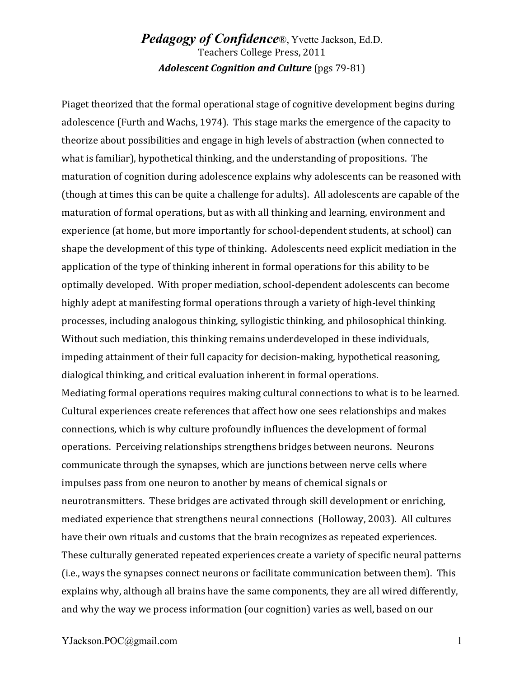## *Pedagogy of Confidence*®, Yvette Jackson, Ed.D. Teachers College Press, 2011 Adolescent Cognition and Culture (pgs 79-81)

Piaget theorized that the formal operational stage of cognitive development begins during adolescence (Furth and Wachs, 1974). This stage marks the emergence of the capacity to theorize about possibilities and engage in high levels of abstraction (when connected to what is familiar), hypothetical thinking, and the understanding of propositions. The maturation of cognition during adolescence explains why adolescents can be reasoned with (though at times this can be quite a challenge for adults). All adolescents are capable of the maturation of formal operations, but as with all thinking and learning, environment and experience (at home, but more importantly for school-dependent students, at school) can shape the development of this type of thinking. Adolescents need explicit mediation in the application of the type of thinking inherent in formal operations for this ability to be optimally developed. With proper mediation, school-dependent adolescents can become highly adept at manifesting formal operations through a variety of high-level thinking processes, including analogous thinking, syllogistic thinking, and philosophical thinking. Without such mediation, this thinking remains underdeveloped in these individuals, impeding attainment of their full capacity for decision-making, hypothetical reasoning, dialogical thinking, and critical evaluation inherent in formal operations. Mediating formal operations requires making cultural connections to what is to be learned. Cultural experiences create references that affect how one sees relationships and makes connections, which is why culture profoundly influences the development of formal operations. Perceiving relationships strengthens bridges between neurons. Neurons communicate through the synapses, which are junctions between nerve cells where impulses pass from one neuron to another by means of chemical signals or neurotransmitters. These bridges are activated through skill development or enriching, mediated experience that strengthens neural connections (Holloway, 2003). All cultures have their own rituals and customs that the brain recognizes as repeated experiences. These culturally generated repeated experiences create a variety of specific neural patterns (i.e., ways the synapses connect neurons or facilitate communication between them). This explains why, although all brains have the same components, they are all wired differently, and why the way we process information (our cognition) varies as well, based on our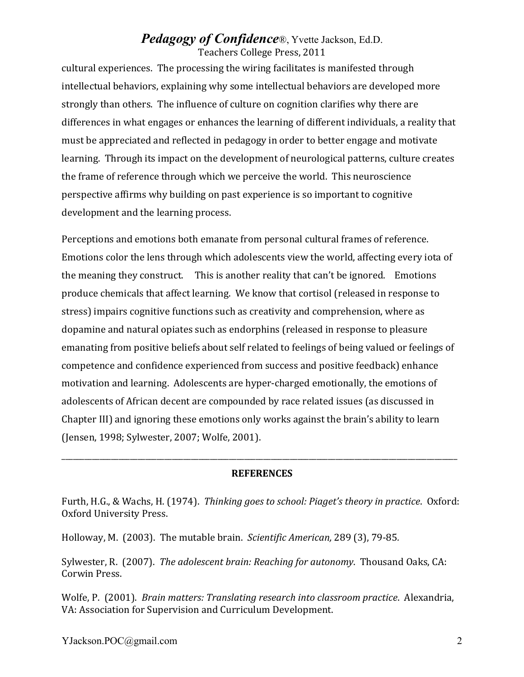## *Pedagogy of Confidence*®, Yvette Jackson, Ed.D. Teachers College Press, 2011

cultural experiences. The processing the wiring facilitates is manifested through intellectual behaviors, explaining why some intellectual behaviors are developed more strongly than others. The influence of culture on cognition clarifies why there are differences in what engages or enhances the learning of different individuals, a reality that must be appreciated and reflected in pedagogy in order to better engage and motivate learning. Through its impact on the development of neurological patterns, culture creates the frame of reference through which we perceive the world. This neuroscience perspective affirms why building on past experience is so important to cognitive development and the learning process.

Perceptions and emotions both emanate from personal cultural frames of reference. Emotions color the lens through which adolescents view the world, affecting every iota of the meaning they construct. This is another reality that can't be ignored. Emotions produce chemicals that affect learning. We know that cortisol (released in response to stress) impairs cognitive functions such as creativity and comprehension, where as dopamine and natural opiates such as endorphins (released in response to pleasure emanating from positive beliefs about self related to feelings of being valued or feelings of competence and confidence experienced from success and positive feedback) enhance motivation and learning. Adolescents are hyper-charged emotionally, the emotions of adolescents of African decent are compounded by race related issues (as discussed in Chapter III) and ignoring these emotions only works against the brain's ability to learn (Jensen, 1998; Sylwester, 2007; Wolfe, 2001).

## **REFERENCES**

\_\_\_\_\_\_\_\_\_\_\_\_\_\_\_\_\_\_\_\_\_\_\_\_\_\_\_\_\_\_\_\_\_\_\_\_\_\_\_\_\_\_\_\_\_\_\_\_\_\_\_\_\_\_\_\_\_\_\_\_\_\_\_\_\_\_\_\_\_\_\_\_\_\_\_\_\_\_\_\_\_\_\_\_\_\_\_\_\_\_\_\_\_\_\_\_\_\_\_\_\_\_\_\_

Furth, H.G., & Wachs, H. (1974). Thinking goes to school: Piaget's theory in practice. Oxford: Oxford University Press.

Holloway, M. (2003). The mutable brain. *Scientific American*, 289 (3), 79-85.

Sylwester, R. (2007). *The adolescent brain: Reaching for autonomy*. Thousand Oaks, CA: Corwin Press.

Wolfe, P. (2001). *Brain matters: Translating research into classroom practice*. Alexandria, VA: Association for Supervision and Curriculum Development.